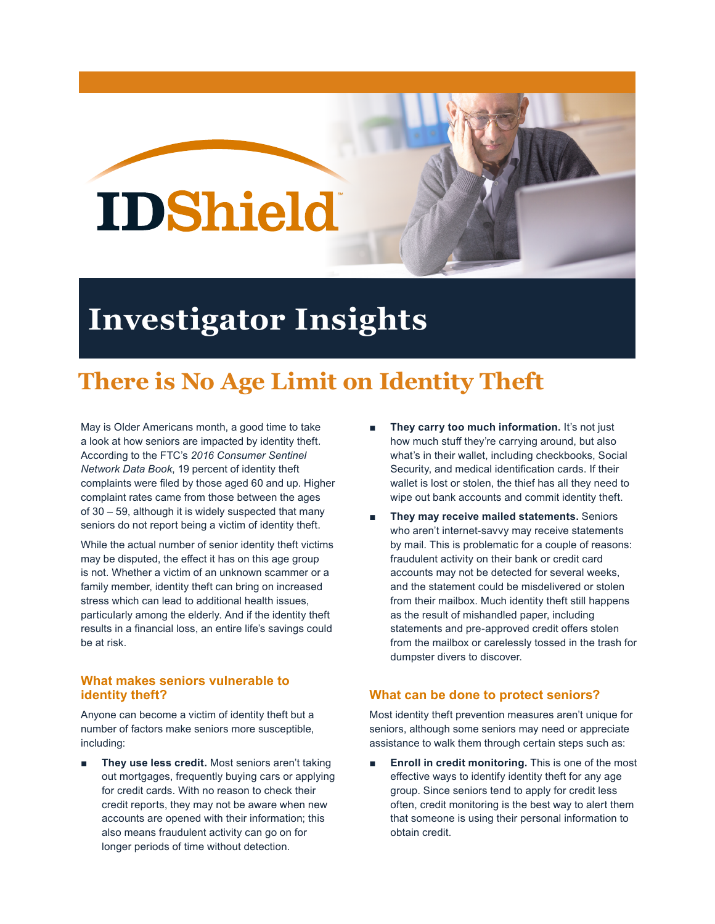# **IDShield**

## **Investigator Insights**

### **There is No Age Limit on Identity Theft**

May is Older Americans month, a good time to take a look at how seniors are impacted by identity theft. According to the FTC's *2016 Consumer Sentinel Network Data Book*, 19 percent of identity theft complaints were filed by those aged 60 and up. Higher complaint rates came from those between the ages of 30 – 59, although it is widely suspected that many seniors do not report being a victim of identity theft.

While the actual number of senior identity theft victims may be disputed, the effect it has on this age group is not. Whether a victim of an unknown scammer or a family member, identity theft can bring on increased stress which can lead to additional health issues, particularly among the elderly. And if the identity theft results in a financial loss, an entire life's savings could be at risk.

#### **What makes seniors vulnerable to identity theft?**

Anyone can become a victim of identity theft but a number of factors make seniors more susceptible, including:

They use less credit. Most seniors aren't taking out mortgages, frequently buying cars or applying for credit cards. With no reason to check their credit reports, they may not be aware when new accounts are opened with their information; this also means fraudulent activity can go on for longer periods of time without detection.

- **They carry too much information.** It's not just how much stuff they're carrying around, but also what's in their wallet, including checkbooks, Social Security, and medical identification cards. If their wallet is lost or stolen, the thief has all they need to wipe out bank accounts and commit identity theft.
- **They may receive mailed statements.** Seniors who aren't internet-savvy may receive statements by mail. This is problematic for a couple of reasons: fraudulent activity on their bank or credit card accounts may not be detected for several weeks, and the statement could be misdelivered or stolen from their mailbox. Much identity theft still happens as the result of mishandled paper, including statements and pre-approved credit offers stolen from the mailbox or carelessly tossed in the trash for dumpster divers to discover.

#### **What can be done to protect seniors?**

Most identity theft prevention measures aren't unique for seniors, although some seniors may need or appreciate assistance to walk them through certain steps such as:

**Enroll in credit monitoring.** This is one of the most effective ways to identify identity theft for any age group. Since seniors tend to apply for credit less often, credit monitoring is the best way to alert them that someone is using their personal information to obtain credit.